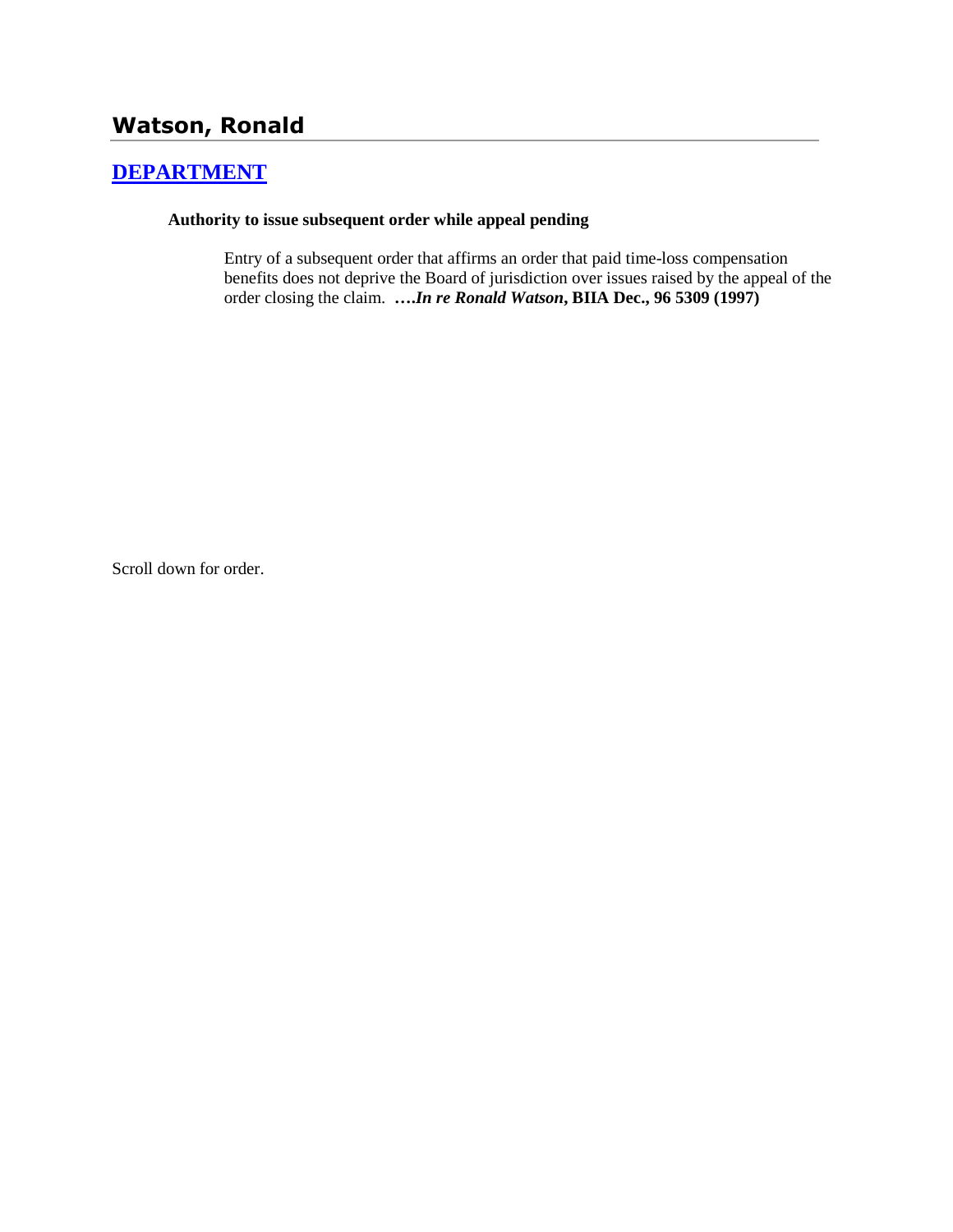## **Watson, Ronald**

## **[DEPARTMENT](http://www.biia.wa.gov/SDSubjectIndex.html#DEPARTMENT)**

## **Authority to issue subsequent order while appeal pending**

Entry of a subsequent order that affirms an order that paid time-loss compensation benefits does not deprive the Board of jurisdiction over issues raised by the appeal of the order closing the claim. **….***In re Ronald Watson***, BIIA Dec., 96 5309 (1997)** 

Scroll down for order.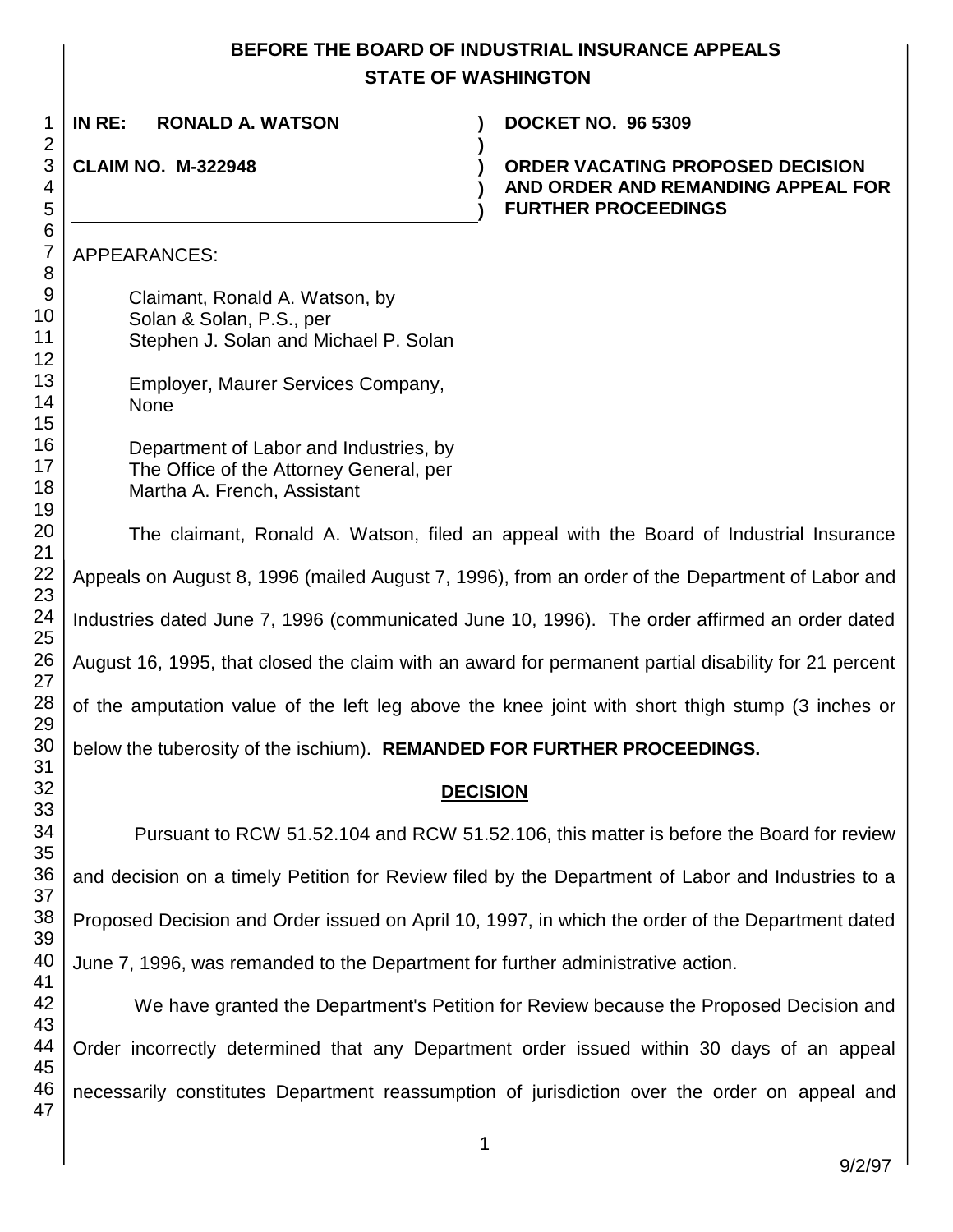## **BEFORE THE BOARD OF INDUSTRIAL INSURANCE APPEALS STATE OF WASHINGTON**

| 1                                      | IN RE:<br><b>RONALD A. WATSON</b>                                                                                | <b>DOCKET NO. 96 5309</b>                                                                            |  |  |  |  |
|----------------------------------------|------------------------------------------------------------------------------------------------------------------|------------------------------------------------------------------------------------------------------|--|--|--|--|
| $\overline{2}$<br>3<br>4<br>5          | <b>CLAIM NO. M-322948</b>                                                                                        | ORDER VACATING PROPOSED DECISION<br>AND ORDER AND REMANDING APPEAL FOR<br><b>FURTHER PROCEEDINGS</b> |  |  |  |  |
| $6\phantom{1}6$<br>$\overline{7}$<br>8 | APPEARANCES:                                                                                                     |                                                                                                      |  |  |  |  |
| $\overline{9}$<br>10<br>11<br>12       | Claimant, Ronald A. Watson, by<br>Solan & Solan, P.S., per<br>Stephen J. Solan and Michael P. Solan              |                                                                                                      |  |  |  |  |
| 13<br>14<br>15                         | Employer, Maurer Services Company,<br><b>None</b>                                                                |                                                                                                      |  |  |  |  |
| 16<br>17<br>18<br>19                   | Department of Labor and Industries, by<br>The Office of the Attorney General, per<br>Martha A. French, Assistant |                                                                                                      |  |  |  |  |
| 20<br>21                               | The claimant, Ronald A. Watson, filed an appeal with the Board of Industrial Insurance                           |                                                                                                      |  |  |  |  |
| 22<br>23                               | Appeals on August 8, 1996 (mailed August 7, 1996), from an order of the Department of Labor and                  |                                                                                                      |  |  |  |  |
| 24<br>25                               | Industries dated June 7, 1996 (communicated June 10, 1996). The order affirmed an order dated                    |                                                                                                      |  |  |  |  |
| 26<br>27                               | August 16, 1995, that closed the claim with an award for permanent partial disability for 21 percent             |                                                                                                      |  |  |  |  |
| 28<br>29                               | of the amputation value of the left leg above the knee joint with short thigh stump (3 inches or                 |                                                                                                      |  |  |  |  |
| 30<br>31                               | below the tuberosity of the ischium). REMANDED FOR FURTHER PROCEEDINGS.                                          |                                                                                                      |  |  |  |  |
| 32<br>33                               | <b>DECISION</b>                                                                                                  |                                                                                                      |  |  |  |  |
| 34<br>35                               |                                                                                                                  | Pursuant to RCW 51.52.104 and RCW 51.52.106, this matter is before the Board for review              |  |  |  |  |
| 36<br>37                               | and decision on a timely Petition for Review filed by the Department of Labor and Industries to a                |                                                                                                      |  |  |  |  |
| 38<br>39                               | Proposed Decision and Order issued on April 10, 1997, in which the order of the Department dated                 |                                                                                                      |  |  |  |  |
| 40<br>41                               | June 7, 1996, was remanded to the Department for further administrative action.                                  |                                                                                                      |  |  |  |  |
| 42<br>43                               |                                                                                                                  | We have granted the Department's Petition for Review because the Proposed Decision and               |  |  |  |  |
| 44<br>45                               | Order incorrectly determined that any Department order issued within 30 days of an appeal                        |                                                                                                      |  |  |  |  |
| 46<br>47                               | necessarily constitutes Department reassumption of jurisdiction over the order on appeal and                     |                                                                                                      |  |  |  |  |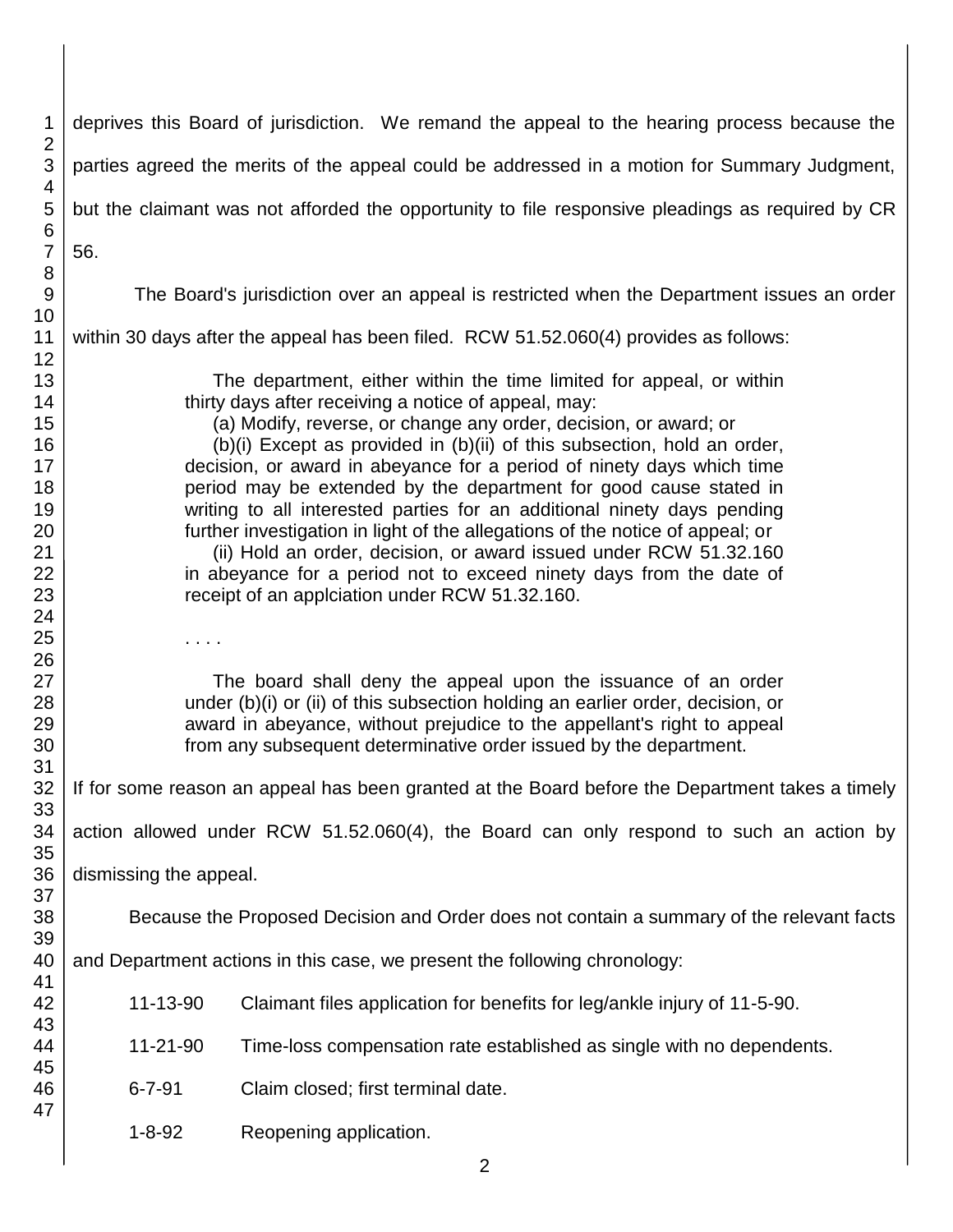| 1                                                                          |                                                                                                 | deprives this Board of jurisdiction. We remand the appeal to the hearing process because the                                                                                                                                                                                                                                                                                                                                                                                                                                                                                                                                                                                                                                                                                        |  |  |  |  |  |  |  |
|----------------------------------------------------------------------------|-------------------------------------------------------------------------------------------------|-------------------------------------------------------------------------------------------------------------------------------------------------------------------------------------------------------------------------------------------------------------------------------------------------------------------------------------------------------------------------------------------------------------------------------------------------------------------------------------------------------------------------------------------------------------------------------------------------------------------------------------------------------------------------------------------------------------------------------------------------------------------------------------|--|--|--|--|--|--|--|
| $\overline{2}$<br>3                                                        | parties agreed the merits of the appeal could be addressed in a motion for Summary Judgment,    |                                                                                                                                                                                                                                                                                                                                                                                                                                                                                                                                                                                                                                                                                                                                                                                     |  |  |  |  |  |  |  |
| $\overline{4}$<br>5                                                        |                                                                                                 | but the claimant was not afforded the opportunity to file responsive pleadings as required by CR                                                                                                                                                                                                                                                                                                                                                                                                                                                                                                                                                                                                                                                                                    |  |  |  |  |  |  |  |
| $\,6$<br>$\overline{7}$                                                    | 56.                                                                                             |                                                                                                                                                                                                                                                                                                                                                                                                                                                                                                                                                                                                                                                                                                                                                                                     |  |  |  |  |  |  |  |
| 8<br>9<br>10                                                               |                                                                                                 | The Board's jurisdiction over an appeal is restricted when the Department issues an order                                                                                                                                                                                                                                                                                                                                                                                                                                                                                                                                                                                                                                                                                           |  |  |  |  |  |  |  |
| 11<br>12                                                                   |                                                                                                 | within 30 days after the appeal has been filed. RCW 51.52.060(4) provides as follows:                                                                                                                                                                                                                                                                                                                                                                                                                                                                                                                                                                                                                                                                                               |  |  |  |  |  |  |  |
| 13<br>14<br>15<br>16<br>17<br>18<br>19<br>20<br>21<br>22<br>23<br>24<br>25 | .                                                                                               | The department, either within the time limited for appeal, or within<br>thirty days after receiving a notice of appeal, may:<br>(a) Modify, reverse, or change any order, decision, or award; or<br>(b)(i) Except as provided in (b)(ii) of this subsection, hold an order,<br>decision, or award in abeyance for a period of ninety days which time<br>period may be extended by the department for good cause stated in<br>writing to all interested parties for an additional ninety days pending<br>further investigation in light of the allegations of the notice of appeal; or<br>(ii) Hold an order, decision, or award issued under RCW 51.32.160<br>in abeyance for a period not to exceed ninety days from the date of<br>receipt of an applciation under RCW 51.32.160. |  |  |  |  |  |  |  |
| 26<br>27<br>28<br>29<br>30<br>31                                           |                                                                                                 | The board shall deny the appeal upon the issuance of an order<br>under (b)(i) or (ii) of this subsection holding an earlier order, decision, or<br>award in abeyance, without prejudice to the appellant's right to appeal<br>from any subsequent determinative order issued by the department.                                                                                                                                                                                                                                                                                                                                                                                                                                                                                     |  |  |  |  |  |  |  |
| 32 <sup>2</sup><br>33                                                      | If for some reason an appeal has been granted at the Board before the Department takes a timely |                                                                                                                                                                                                                                                                                                                                                                                                                                                                                                                                                                                                                                                                                                                                                                                     |  |  |  |  |  |  |  |
| 34<br>35                                                                   |                                                                                                 | action allowed under RCW 51.52.060(4), the Board can only respond to such an action by                                                                                                                                                                                                                                                                                                                                                                                                                                                                                                                                                                                                                                                                                              |  |  |  |  |  |  |  |
| 36<br>37                                                                   | dismissing the appeal.                                                                          |                                                                                                                                                                                                                                                                                                                                                                                                                                                                                                                                                                                                                                                                                                                                                                                     |  |  |  |  |  |  |  |
| 38<br>39                                                                   | Because the Proposed Decision and Order does not contain a summary of the relevant facts        |                                                                                                                                                                                                                                                                                                                                                                                                                                                                                                                                                                                                                                                                                                                                                                                     |  |  |  |  |  |  |  |
| 40<br>41                                                                   |                                                                                                 | and Department actions in this case, we present the following chronology:                                                                                                                                                                                                                                                                                                                                                                                                                                                                                                                                                                                                                                                                                                           |  |  |  |  |  |  |  |
| 42<br>43                                                                   | 11-13-90                                                                                        | Claimant files application for benefits for leg/ankle injury of 11-5-90.                                                                                                                                                                                                                                                                                                                                                                                                                                                                                                                                                                                                                                                                                                            |  |  |  |  |  |  |  |
| 44<br>45                                                                   | 11-21-90                                                                                        | Time-loss compensation rate established as single with no dependents.                                                                                                                                                                                                                                                                                                                                                                                                                                                                                                                                                                                                                                                                                                               |  |  |  |  |  |  |  |
| 46<br>47                                                                   | $6 - 7 - 91$                                                                                    | Claim closed; first terminal date.                                                                                                                                                                                                                                                                                                                                                                                                                                                                                                                                                                                                                                                                                                                                                  |  |  |  |  |  |  |  |
|                                                                            | $1 - 8 - 92$<br>Reopening application.                                                          |                                                                                                                                                                                                                                                                                                                                                                                                                                                                                                                                                                                                                                                                                                                                                                                     |  |  |  |  |  |  |  |
|                                                                            | 2                                                                                               |                                                                                                                                                                                                                                                                                                                                                                                                                                                                                                                                                                                                                                                                                                                                                                                     |  |  |  |  |  |  |  |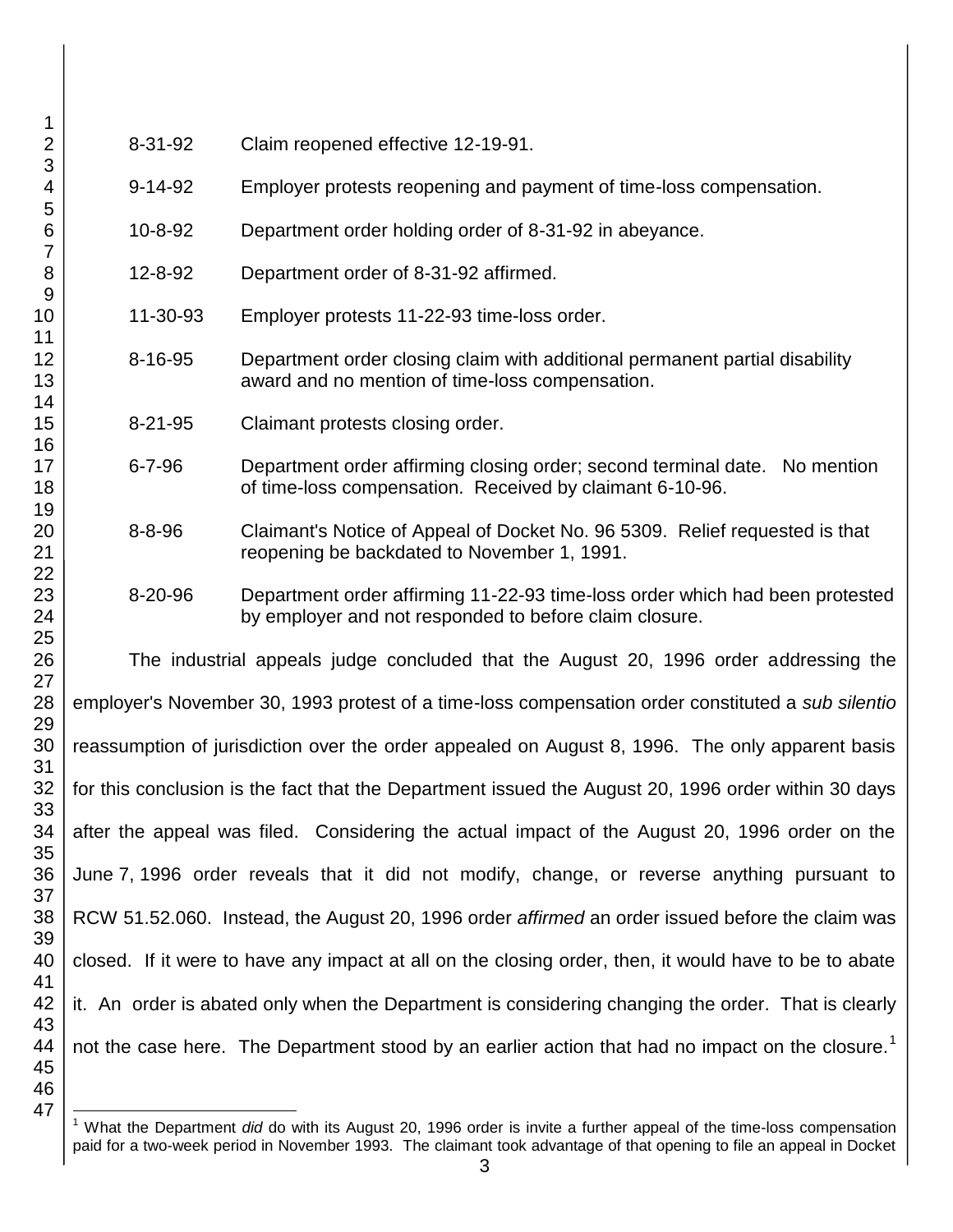| 1                    |                                                                                                              |               |                                                                                                                                        |  |  |
|----------------------|--------------------------------------------------------------------------------------------------------------|---------------|----------------------------------------------------------------------------------------------------------------------------------------|--|--|
| $\overline{2}$       | 8-31-92<br>Claim reopened effective 12-19-91.                                                                |               |                                                                                                                                        |  |  |
| 3<br>4               |                                                                                                              | $9 - 14 - 92$ | Employer protests reopening and payment of time-loss compensation.                                                                     |  |  |
| 5<br>6               |                                                                                                              | 10-8-92       | Department order holding order of 8-31-92 in abeyance.                                                                                 |  |  |
| 7<br>8               |                                                                                                              | 12-8-92       | Department order of 8-31-92 affirmed.                                                                                                  |  |  |
| $9$<br>10            |                                                                                                              | 11-30-93      | Employer protests 11-22-93 time-loss order.                                                                                            |  |  |
| 11<br>12<br>13       |                                                                                                              | $8 - 16 - 95$ | Department order closing claim with additional permanent partial disability<br>award and no mention of time-loss compensation.         |  |  |
| 14<br>15             |                                                                                                              | $8 - 21 - 95$ | Claimant protests closing order.                                                                                                       |  |  |
| 16<br>17<br>18       |                                                                                                              | $6 - 7 - 96$  | Department order affirming closing order; second terminal date. No mention<br>of time-loss compensation. Received by claimant 6-10-96. |  |  |
| 19<br>20<br>21       |                                                                                                              | $8 - 8 - 96$  | Claimant's Notice of Appeal of Docket No. 96 5309. Relief requested is that<br>reopening be backdated to November 1, 1991.             |  |  |
| 22<br>23<br>24       |                                                                                                              | 8-20-96       | Department order affirming 11-22-93 time-loss order which had been protested<br>by employer and not responded to before claim closure. |  |  |
| 25<br>26             | The industrial appeals judge concluded that the August 20, 1996 order addressing the                         |               |                                                                                                                                        |  |  |
| 27<br>28             | employer's November 30, 1993 protest of a time-loss compensation order constituted a sub silentio            |               |                                                                                                                                        |  |  |
| 29<br>30             | reassumption of jurisdiction over the order appealed on August 8, 1996. The only apparent basis              |               |                                                                                                                                        |  |  |
| 31<br>32             | for this conclusion is the fact that the Department issued the August 20, 1996 order within 30 days          |               |                                                                                                                                        |  |  |
| 33<br>34             | after the appeal was filed. Considering the actual impact of the August 20, 1996 order on the                |               |                                                                                                                                        |  |  |
| 35<br>36             | June 7, 1996 order reveals that it did not modify, change, or reverse anything pursuant to                   |               |                                                                                                                                        |  |  |
| 37<br>38             | RCW 51.52.060. Instead, the August 20, 1996 order affirmed an order issued before the claim was              |               |                                                                                                                                        |  |  |
| 39<br>40             | closed. If it were to have any impact at all on the closing order, then, it would have to be to abate        |               |                                                                                                                                        |  |  |
| 41<br>42             | it. An order is abated only when the Department is considering changing the order. That is clearly           |               |                                                                                                                                        |  |  |
| 43<br>44<br>45<br>46 | not the case here. The Department stood by an earlier action that had no impact on the closure. <sup>1</sup> |               |                                                                                                                                        |  |  |

l <sup>1</sup> What the Department *did* do with its August 20, 1996 order is invite a further appeal of the time-loss compensation paid for a two-week period in November 1993. The claimant took advantage of that opening to file an appeal in Docket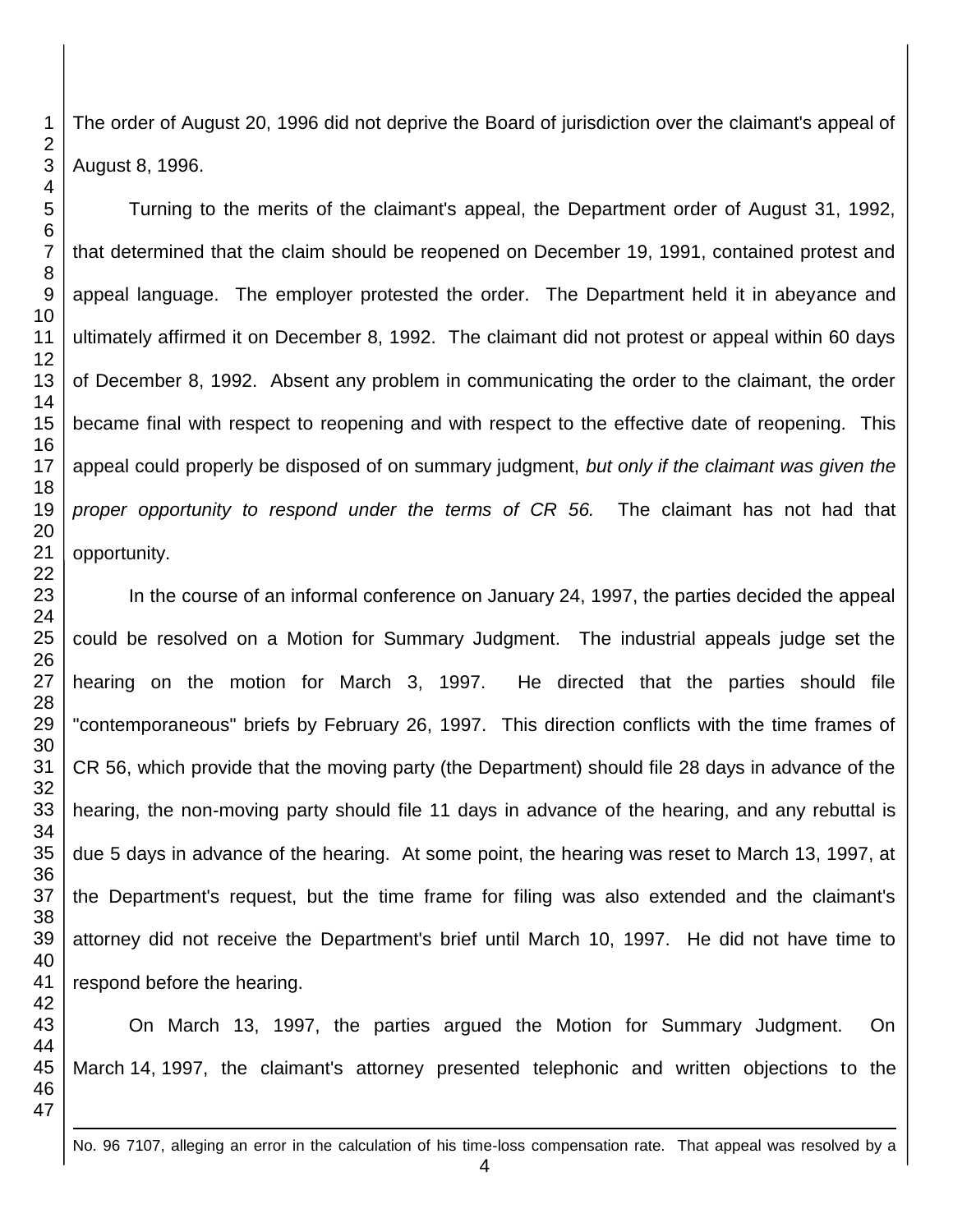The order of August 20, 1996 did not deprive the Board of jurisdiction over the claimant's appeal of August 8, 1996.

Turning to the merits of the claimant's appeal, the Department order of August 31, 1992, that determined that the claim should be reopened on December 19, 1991, contained protest and appeal language. The employer protested the order. The Department held it in abeyance and ultimately affirmed it on December 8, 1992. The claimant did not protest or appeal within 60 days of December 8, 1992. Absent any problem in communicating the order to the claimant, the order became final with respect to reopening and with respect to the effective date of reopening. This appeal could properly be disposed of on summary judgment, *but only if the claimant was given the proper opportunity to respond under the terms of CR 56.* The claimant has not had that opportunity.

In the course of an informal conference on January 24, 1997, the parties decided the appeal could be resolved on a Motion for Summary Judgment. The industrial appeals judge set the hearing on the motion for March 3, 1997. He directed that the parties should file "contemporaneous" briefs by February 26, 1997. This direction conflicts with the time frames of CR 56, which provide that the moving party (the Department) should file 28 days in advance of the hearing, the non-moving party should file 11 days in advance of the hearing, and any rebuttal is due 5 days in advance of the hearing. At some point, the hearing was reset to March 13, 1997, at the Department's request, but the time frame for filing was also extended and the claimant's attorney did not receive the Department's brief until March 10, 1997. He did not have time to respond before the hearing.

On March 13, 1997, the parties argued the Motion for Summary Judgment. On March 14, 1997, the claimant's attorney presented telephonic and written objections to the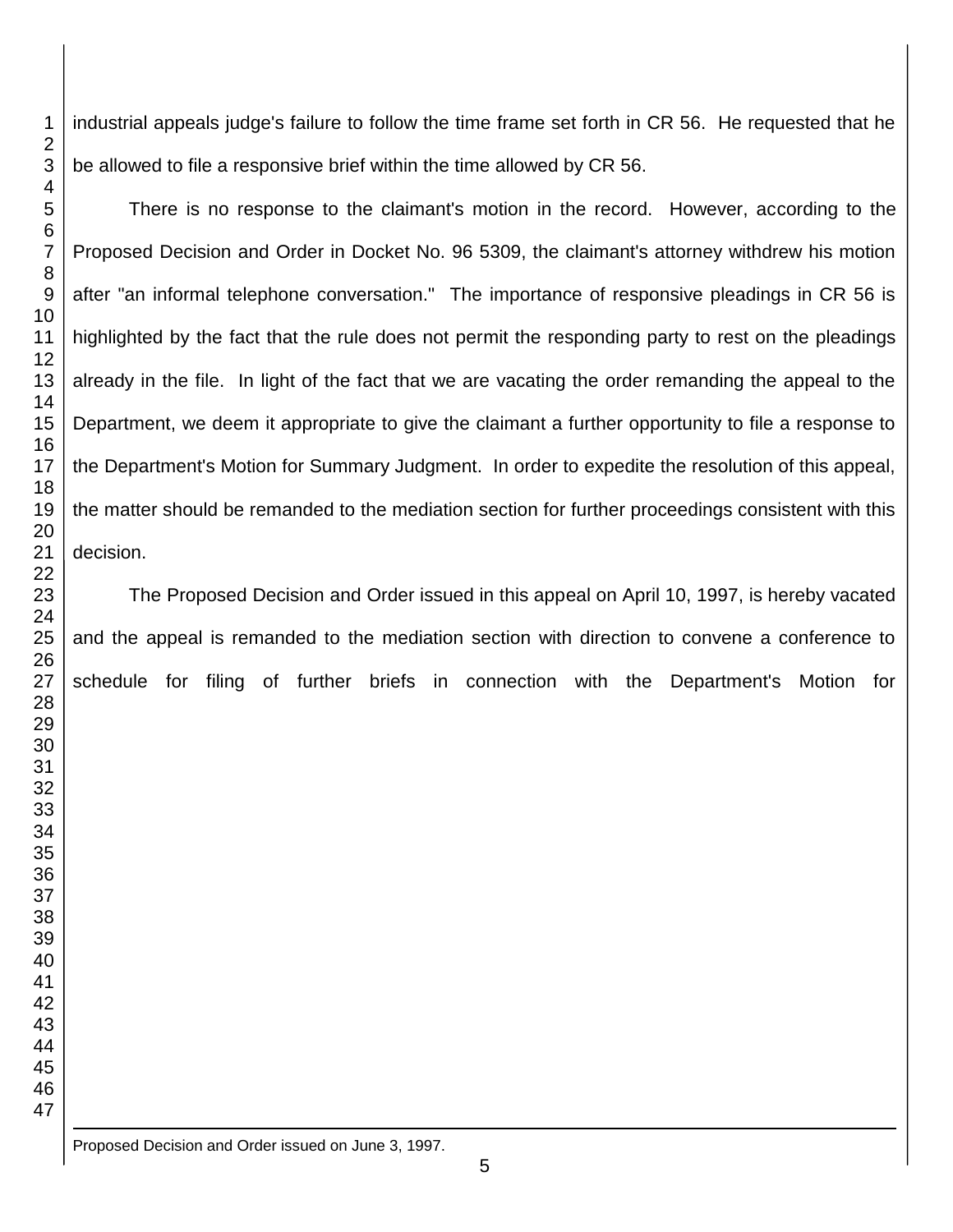industrial appeals judge's failure to follow the time frame set forth in CR 56. He requested that he be allowed to file a responsive brief within the time allowed by CR 56.

There is no response to the claimant's motion in the record. However, according to the Proposed Decision and Order in Docket No. 96 5309, the claimant's attorney withdrew his motion after "an informal telephone conversation." The importance of responsive pleadings in CR 56 is highlighted by the fact that the rule does not permit the responding party to rest on the pleadings already in the file. In light of the fact that we are vacating the order remanding the appeal to the Department, we deem it appropriate to give the claimant a further opportunity to file a response to the Department's Motion for Summary Judgment. In order to expedite the resolution of this appeal, the matter should be remanded to the mediation section for further proceedings consistent with this decision.

The Proposed Decision and Order issued in this appeal on April 10, 1997, is hereby vacated and the appeal is remanded to the mediation section with direction to convene a conference to schedule for filing of further briefs in connection with the Department's Motion for

<u>.</u> Proposed Decision and Order issued on June 3, 1997.